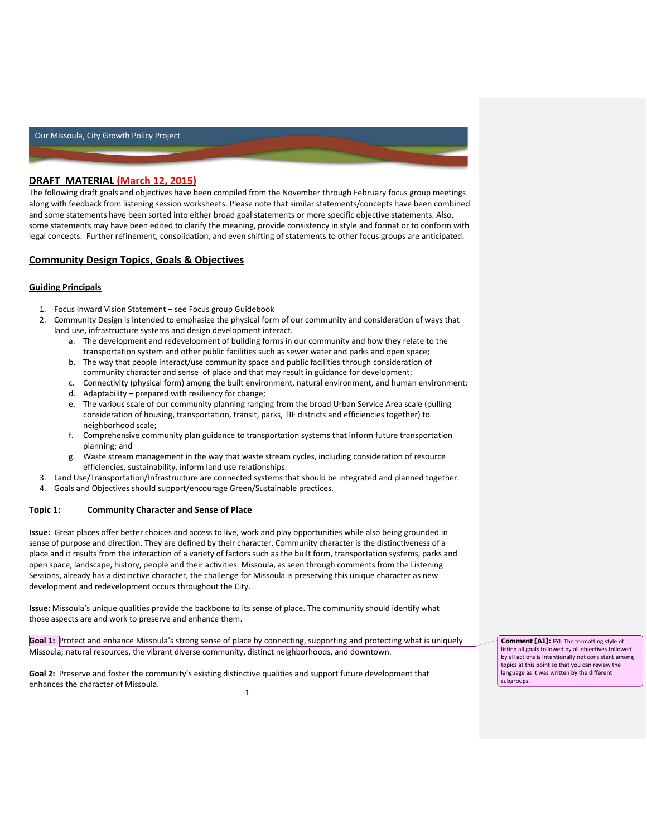# **DRAFT MATERIAL (March 12, 2015)**

The following draft goals and objectives have been compiled from the November through February focus group meetings along with feedback from listening session worksheets. Please note that similar statements/concepts have been combined and some statements have been sorted into either broad goal statements or more specific objective statements. Also, some statements may have been edited to clarify the meaning, provide consistency in style and format or to conform with legal concepts. Further refinement, consolidation, and even shifting of statements to other focus groups are anticipated.

# **Community Design Topics, Goals & Objectives**

## **Guiding Principals**

- 1. Focus Inward Vision Statement see Focus group Guidebook
- 2. Community Design is intended to emphasize the physical form of our community and consideration of ways that land use, infrastructure systems and design development interact.
	- a. The development and redevelopment of building forms in our community and how they relate to the transportation system and other public facilities such as sewer water and parks and open space;
	- b. The way that people interact/use community space and public facilities through consideration of community character and sense of place and that may result in guidance for development;
	- c. Connectivity (physical form) among the built environment, natural environment, and human environment;
	- d. Adaptability prepared with resiliency for change;
	- e. The various scale of our community planning ranging from the broad Urban Service Area scale (pulling consideration of housing, transportation, transit, parks, TIF districts and efficiencies together) to neighborhood scale;
	- f. Comprehensive community plan guidance to transportation systems that inform future transportation planning; and
	- g. Waste stream management in the way that waste stream cycles, including consideration of resource efficiencies, sustainability, inform land use relationships.
- 3. Land Use/Transportation/Infrastructure are connected systems that should be integrated and planned together.
- 4. Goals and Objectives should support/encourage Green/Sustainable practices.

### **Topic 1: Community Character and Sense of Place**

**Issue:** Great places offer better choices and access to live, work and play opportunities while also being grounded in sense of purpose and direction. They are defined by their character. Community character is the distinctiveness of a place and it results from the interaction of a variety of factors such as the built form, transportation systems, parks and open space, landscape, history, people and their activities. Missoula, as seen through comments from the Listening Sessions, already has a distinctive character, the challenge for Missoula is preserving this unique character as new development and redevelopment occurs throughout the City.

**Issue:** Missoula's unique qualities provide the backbone to its sense of place. The community should identify what those aspects are and work to preserve and enhance them.

**Goal 1:** Protect and enhance Missoula's strong sense of place by connecting, supporting and protecting what is uniquely Missoula; natural resources, the vibrant diverse community, distinct neighborhoods, and downtown.

1 **Goal 2:** Preserve and foster the community's existing distinctive qualities and support future development that enhances the character of Missoula.

**Comment [A1]:** FYI: The formatting style of listing all goals followed by all objectives followed by all actions is intentionally not consistent among topics at this point so that you can review the language as it was written by the different subgroups.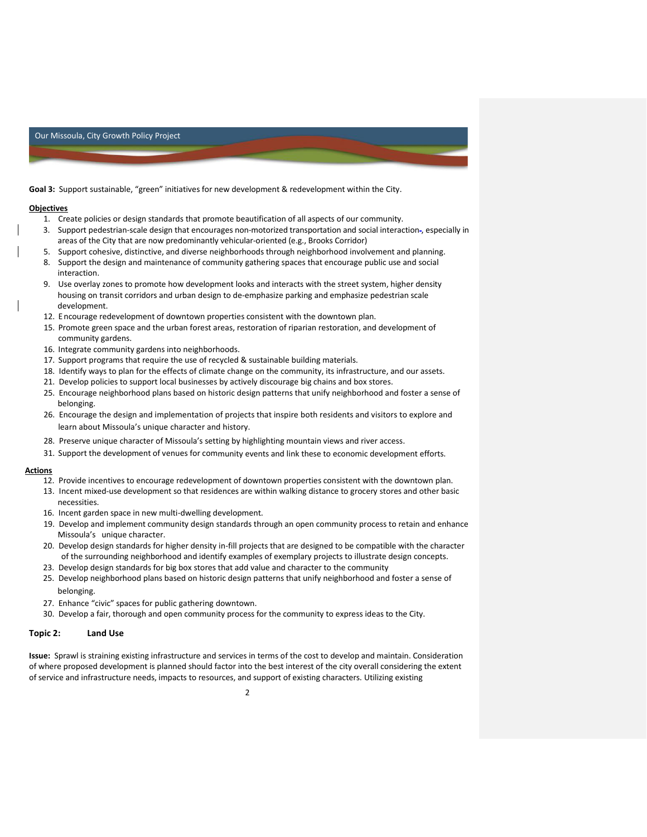**Goal 3:** Support sustainable, "green" initiatives for new development & redevelopment within the City.

#### **Objectives**

- 1. Create policies or design standards that promote beautification of all aspects of our community.
- 3. Support pedestrian-scale design that encourages non-motorized transportation and social interaction , especially in areas of the City that are now predominantly vehicular-oriented (e.g., Brooks Corridor)
- 5. Support cohesive, distinctive, and diverse neighborhoods through neighborhood involvement and planning.
- 8. Support the design and maintenance of community gathering spaces that encourage public use and social interaction.
- 9. Use overlay zones to promote how development looks and interacts with the street system, higher density housing on transit corridors and urban design to de-emphasize parking and emphasize pedestrian scale development.
- 12. E ncourage redevelopment of downtown properties consistent with the downtown plan.
- 15. Promote green space and the urban forest areas, restoration of riparian restoration, and development of community gardens.
- 16. Integrate community gardens into neighborhoods.
- 17. Support programs that require the use of recycled & sustainable building materials.
- 18. Identify ways to plan for the effects of climate change on the community, its infrastructure, and our assets.
- 21. Develop policies to support local businesses by actively discourage big chains and box stores.
- 25. Encourage neighborhood plans based on historic design patterns that unify neighborhood and foster a sense of belonging.
- 26. Encourage the design and implementation of projects that inspire both residents and visitors to explore and learn about Missoula's unique character and history.
- 28. Preserve unique character of Missoula's setting by highlighting mountain views and river access.
- 31. Support the development of venues for community events and link these to economic development efforts.

#### **Actions**

- 12. Provide incentives to encourage redevelopment of downtown properties consistent with the downtown plan.
- 13. Incent mixed-use development so that residences are within walking distance to grocery stores and other basic necessities.
- 16. Incent garden space in new multi-dwelling development.
- 19. Develop and implement community design standards through an open community process to retain and enhance Missoula's unique character.
- 20. Develop design standards for higher density in-fill projects that are designed to be compatible with the character of the surrounding neighborhood and identify examples of exemplary projects to illustrate design concepts.
- 23. Develop design standards for big box stores that add value and character to the community
- 25. Develop neighborhood plans based on historic design patterns that unify neighborhood and foster a sense of belonging.
- 27. Enhance "civic" spaces for public gathering downtown.
- 30. Develop a fair, thorough and open community process for the community to express ideas to the City.

### **Topic 2: Land Use**

**Issue:** Sprawl is straining existing infrastructure and services in terms of the cost to develop and maintain. Consideration of where proposed development is planned should factor into the best interest of the city overall considering the extent of service and infrastructure needs, impacts to resources, and support of existing characters. Utilizing existing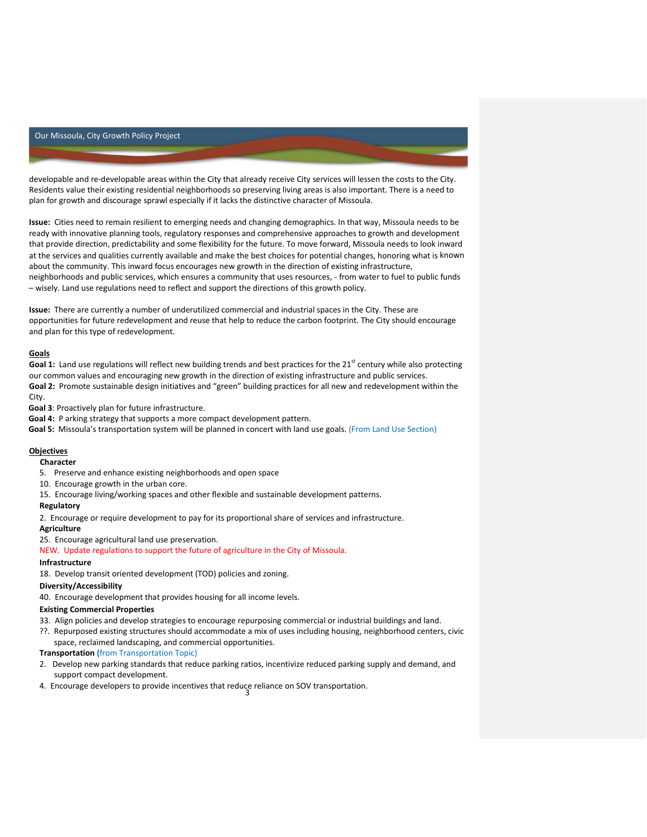developable and re-developable areas within the City that already receive City services will lessen the costs to the City. Residents value their existing residential neighborhoods so preserving living areas is also important. There is a need to plan for growth and discourage sprawl especially if it lacks the distinctive character of Missoula.

**Issue:** Cities need to remain resilient to emerging needs and changing demographics. In that way, Missoula needs to be ready with innovative planning tools, regulatory responses and comprehensive approaches to growth and development that provide direction, predictability and some flexibility for the future. To move forward, Missoula needs to look inward at the services and qualities currently available and make the best choices for potential changes, honoring what is known about the community. This inward focus encourages new growth in the direction of existing infrastructure, neighborhoods and public services, which ensures a community that uses resources, - from water to fuel to public funds – wisely. Land use regulations need to reflect and support the directions of this growth policy.

**Issue:** There are currently a number of underutilized commercial and industrial spaces in the City. These are opportunities for future redevelopment and reuse that help to reduce the carbon footprint. The City should encourage and plan for this type of redevelopment.

### **Goals**

Goal 1: Land use regulations will reflect new building trends and best practices for the 21<sup>st</sup> century while also protecting our common values and encouraging new growth in the direction of existing infrastructure and public services. **Goal 2:** Promote sustainable design initiatives and "green" building practices for all new and redevelopment within the City.

**Goal 3**: Proactively plan for future infrastructure.

**Goal 4:** P arking strategy that supports a more compact development pattern.

**Goal 5:** Missoula's transportation system will be planned in concert with land use goals. (From Land Use Section)

# **Objectives**

**Character**

- 5. Preserve and enhance existing neighborhoods and open space
- 10. Encourage growth in the urban core.
- 15. Encourage living/working spaces and other flexible and sustainable development patterns.

# **Regulatory**

2. Encourage or require development to pay for its proportional share of services and infrastructure.

#### **Agriculture**

25. Encourage agricultural land use preservation.

NEW. Update regulations to support the future of agriculture in the City of Missoula.

### **Infrastructure**

18. Develop transit oriented development (TOD) policies and zoning.

### **Diversity/Accessibility**

40. Encourage development that provides housing for all income levels.

### **Existing Commercial Properties**

33. Align policies and develop strategies to encourage repurposing commercial or industrial buildings and land.

??. Repurposed existing structures should accommodate a mix of uses including housing, neighborhood centers, civic space, reclaimed landscaping, and commercial opportunities.

## **Transportation (**from Transportation Topic)

- 2. Develop new parking standards that reduce parking ratios, incentivize reduced parking supply and demand, and support compact development.
- 3 4. Encourage developers to provide incentives that reduce reliance on SOV transportation.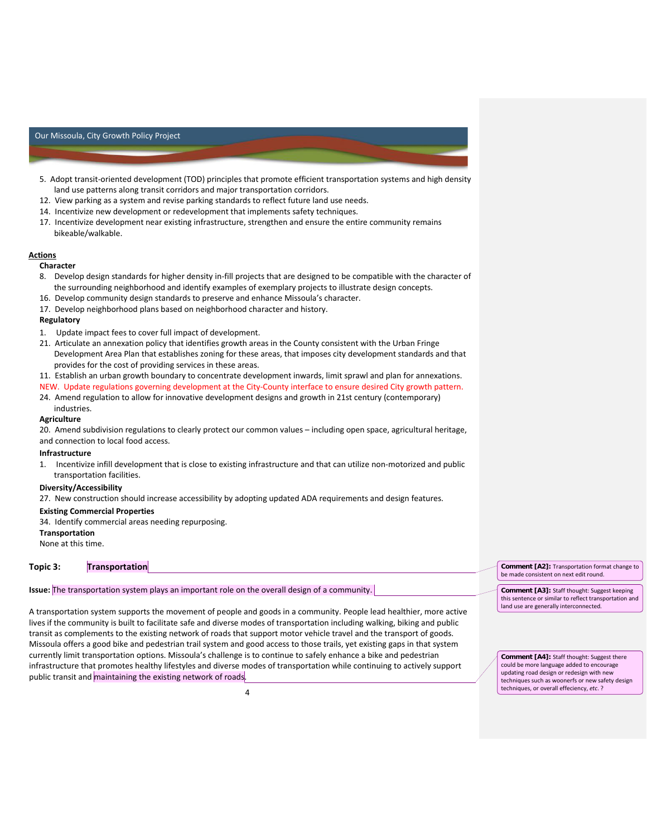- 5. Adopt transit-oriented development (TOD) principles that promote efficient transportation systems and high density land use patterns along transit corridors and major transportation corridors.
- 12. View parking as a system and revise parking standards to reflect future land use needs.
- 14. Incentivize new development or redevelopment that implements safety techniques.
- 17. Incentivize development near existing infrastructure, strengthen and ensure the entire community remains bikeable/walkable.

#### **Actions**

## **Character**

- 8. Develop design standards for higher density in-fill projects that are designed to be compatible with the character of the surrounding neighborhood and identify examples of exemplary projects to illustrate design concepts.
- 16. Develop community design standards to preserve and enhance Missoula's character.
- 17. Develop neighborhood plans based on neighborhood character and history.

### **Regulatory**

- 1. Update impact fees to cover full impact of development.
- 21. Articulate an annexation policy that identifies growth areas in the County consistent with the Urban Fringe Development Area Plan that establishes zoning for these areas, that imposes city development standards and that provides for the cost of providing services in these areas.
- 11. Establish an urban growth boundary to concentrate development inwards, limit sprawl and plan for annexations.
- NEW. Update regulations governing development at the City-County interface to ensure desired City growth pattern.
- 24. Amend regulation to allow for innovative development designs and growth in 21st century (contemporary) industries.

#### **Agriculture**

20. Amend subdivision regulations to clearly protect our common values – including open space, agricultural heritage, and connection to local food access.

#### **Infrastructure**

1. Incentivize infill development that is close to existing infrastructure and that can utilize non-motorized and public transportation facilities.

#### **Diversity/Accessibility**

27. New construction should increase accessibility by adopting updated ADA requirements and design features.

#### **Existing Commercial Properties**

34. Identify commercial areas needing repurposing.

### **Transportation**

None at this time.

## **Topic 3: Transportation**

## **Issue:** The transportation system plays an important role on the overall design of a community.

A transportation system supports the movement of people and goods in a community. People lead healthier, more active lives if the community is built to facilitate safe and diverse modes of transportation including walking, biking and public transit as complements to the existing network of roads that support motor vehicle travel and the transport of goods. Missoula offers a good bike and pedestrian trail system and good access to those trails, yet existing gaps in that system currently limit transportation options. Missoula's challenge is to continue to safely enhance a bike and pedestrian infrastructure that promotes healthy lifestyles and diverse modes of transportation while continuing to actively support public transit and maintaining the existing network of roads.

**Comment [A2]:** Transportation format change to be made consistent on next edit round.

**Comment [A3]:** Staff thought: Suggest keeping this sentence or similar to reflect transportation and land use are generally interconnected.

**Comment [A4]:** Staff thought: Suggest there could be more language added to encourage updating road design or redesign with new techniques such as woonerfs or new safety design techniques, or overall effeciency, *etc*. ?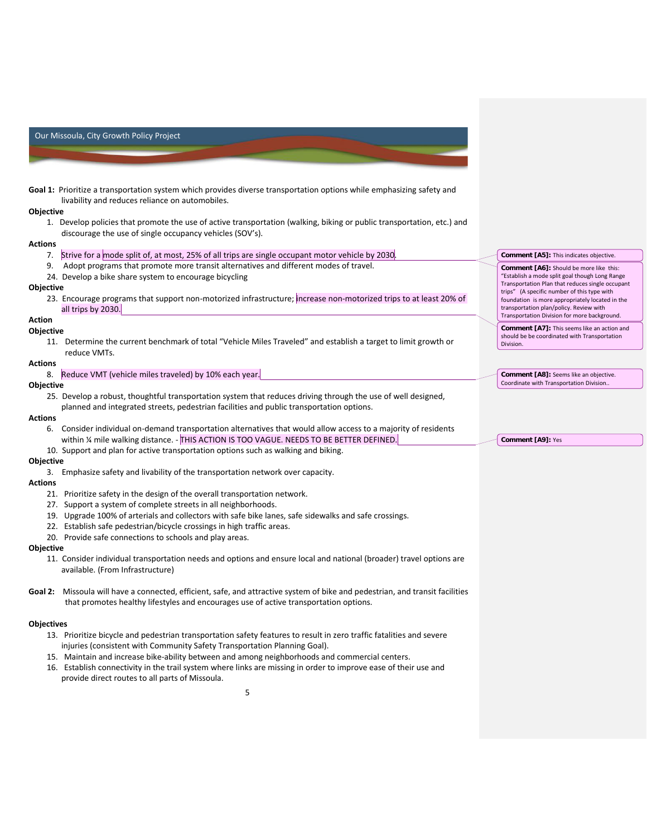**Goal 1:** Prioritize a transportation system which provides diverse transportation options while emphasizing safety and livability and reduces reliance on automobiles.

#### **Objective**

1. Develop policies that promote the use of active transportation (walking, biking or public transportation, etc.) and discourage the use of single occupancy vehicles (SOV's).

> **Comment [A5]:** This indicates objective. **Comment [A6]:** Should be more like this: "Establish a mode split goal though Long Range Transportation Plan that reduces single occupant trips" (A specific number of this type with foundation is more appropriately located in the transportation plan/policy. Review with Transportation Division for more background. **Comment [A7]:** This seems like an action and should be be coordinated with Transportation

**Comment [A8]:** Seems like an objective. Coordinate with Transportation Division..

Division.

**Comment [A9]:** Yes

#### **Actions**

- 7. Strive for a mode split of, at most, 25% of all trips are single occupant motor vehicle by 2030.
- 9. Adopt programs that promote more transit alternatives and different modes of travel.
- 24. Develop a bike share system to encourage bicycling

#### **Objective**

23. Encourage programs that support non-motorized infrastructure; increase non-motorized trips to at least 20% of all trips by 2030.

### **Action**

#### **Objective**

11. Determine the current benchmark of total "Vehicle Miles Traveled" and establish a target to limit growth or reduce VMTs.

#### **Actions**

8. Reduce VMT (vehicle miles traveled) by 10% each year.

#### **Objective**

25. Develop a robust, thoughtful transportation system that reduces driving through the use of well designed, planned and integrated streets, pedestrian facilities and public transportation options.

### **Actions**

- 6. Consider individual on-demand transportation alternatives that would allow access to a majority of residents within ¼ mile walking distance. - THIS ACTION IS TOO VAGUE. NEEDS TO BE BETTER DEFINED.
- 10. Support and plan for active transportation options such as walking and biking.

#### **Objective**

3. Emphasize safety and livability of the transportation network over capacity.

### **Actions**

- 21. Prioritize safety in the design of the overall transportation network.
- 27. Support a system of complete streets in all neighborhoods.
- 19. Upgrade 100% of arterials and collectors with safe bike lanes, safe sidewalks and safe crossings.
- 22. Establish safe pedestrian/bicycle crossings in high traffic areas.
- 20. Provide safe connections to schools and play areas.

#### **Objective**

- 11. Consider individual transportation needs and options and ensure local and national (broader) travel options are available. (From Infrastructure)
- **Goal 2:** Missoula will have a connected, efficient, safe, and attractive system of bike and pedestrian, and transit facilities that promotes healthy lifestyles and encourages use of active transportation options.

#### **Objectives**

- 13. Prioritize bicycle and pedestrian transportation safety features to result in zero traffic fatalities and severe injuries (consistent with Community Safety Transportation Planning Goal).
- 15. Maintain and increase bike-ability between and among neighborhoods and commercial centers.
- 16. Establish connectivity in the trail system where links are missing in order to improve ease of their use and provide direct routes to all parts of Missoula.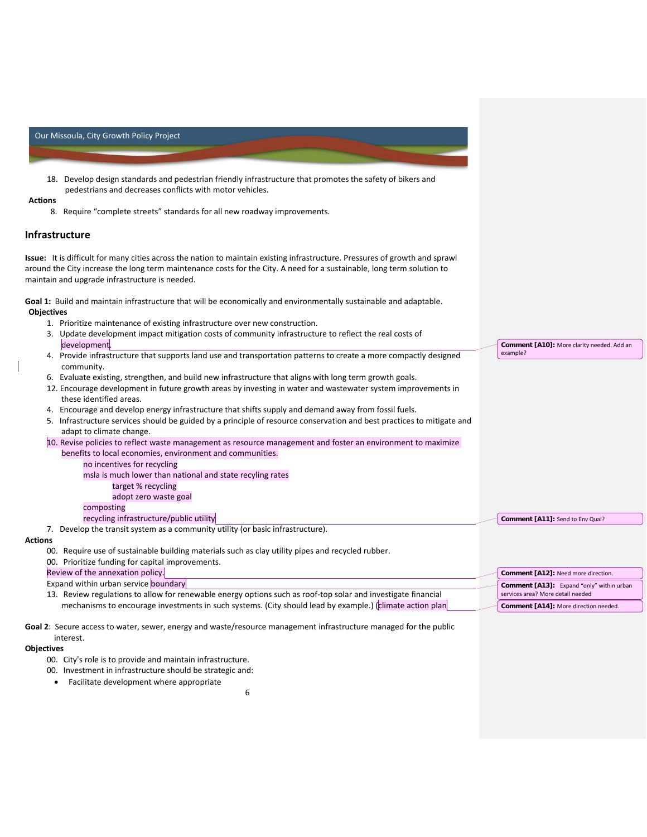

- 00. City's role is to provide and maintain infrastructure.
- 00. Investment in infrastructure should be strategic and:
	- Facilitate development where appropriate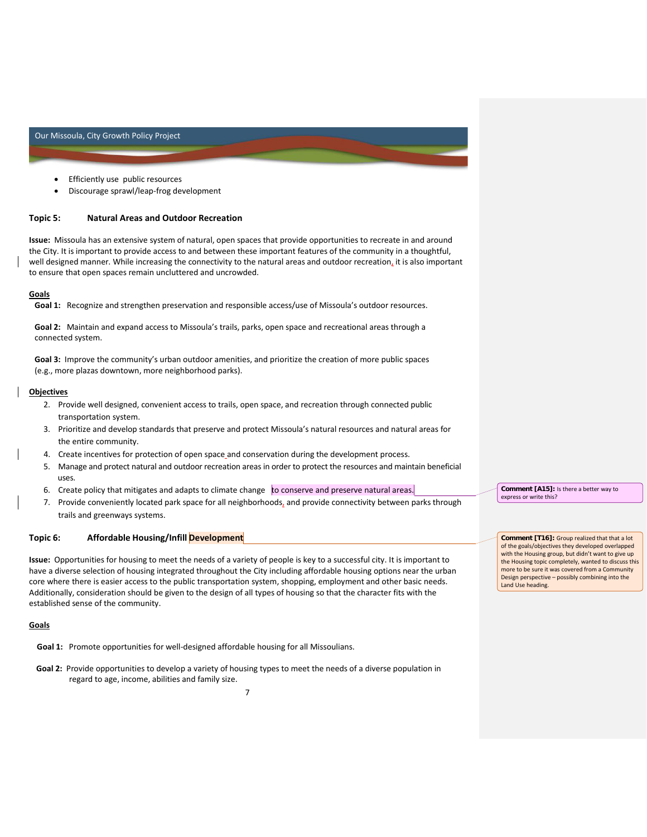- Efficiently use public resources
- Discourage sprawl/leap-frog development

### **Topic 5: Natural Areas and Outdoor Recreation**

**Issue:** Missoula has an extensive system of natural, open spaces that provide opportunities to recreate in and around the City. It is important to provide access to and between these important features of the community in a thoughtful, well designed manner. While increasing the connectivity to the natural areas and outdoor recreation, it is also important to ensure that open spaces remain uncluttered and uncrowded.

### **Goals**

**Goal 1:** Recognize and strengthen preservation and responsible access/use of Missoula's outdoor resources.

**Goal 2:** Maintain and expand access to Missoula's trails, parks, open space and recreational areas through a connected system.

**Goal 3:** Improve the community's urban outdoor amenities, and prioritize the creation of more public spaces (e.g., more plazas downtown, more neighborhood parks).

#### **Objectives**

- 2. Provide well designed, convenient access to trails, open space, and recreation through connected public transportation system.
- 3. Prioritize and develop standards that preserve and protect Missoula's natural resources and natural areas for the entire community.
- 4. Create incentives for protection of open space and conservation during the development process.
- 5. Manage and protect natural and outdoor recreation areas in order to protect the resources and maintain beneficial uses.
- 6. Create policy that mitigates and adapts to climate change to conserve and preserve natural areas.
- 7. Provide conveniently located park space for all neighborhoods, and provide connectivity between parks through trails and greenways systems.

## **Topic 6: Affordable Housing/Infill Development**

**Issue:** Opportunities for housing to meet the needs of a variety of people is key to a successful city. It is important to have a diverse selection of housing integrated throughout the City including affordable housing options near the urban core where there is easier access to the public transportation system, shopping, employment and other basic needs. Additionally, consideration should be given to the design of all types of housing so that the character fits with the established sense of the community.

#### **Goals**

**Goal 1:** Promote opportunities for well-designed affordable housing for all Missoulians.

**Goal 2:** Provide opportunities to develop a variety of housing types to meet the needs of a diverse population in regard to age, income, abilities and family size.

**Comment [A15]:** Is there a better way to express or write this?

**Comment [T16]:** Group realized that that a lot of the goals/objectives they developed overlapped with the Housing group, but didn't want to give up the Housing topic completely, wanted to discuss this more to be sure it was covered from a Community Design perspective – possibly combining into the Land Use heading.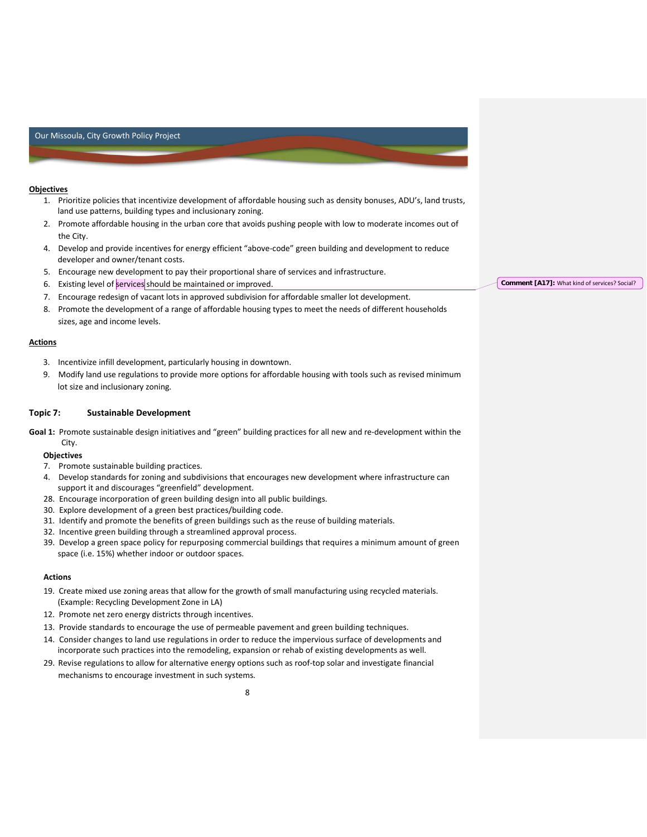### **Objectives**

- 1. Prioritize policies that incentivize development of affordable housing such as density bonuses, ADU's, land trusts, land use patterns, building types and inclusionary zoning.
- 2. Promote affordable housing in the urban core that avoids pushing people with low to moderate incomes out of the City.
- 4. Develop and provide incentives for energy efficient "above-code" green building and development to reduce developer and owner/tenant costs.
- 5. Encourage new development to pay their proportional share of services and infrastructure.
- 6. Existing level of services should be maintained or improved.
- 7. Encourage redesign of vacant lots in approved subdivision for affordable smaller lot development.
- 8. Promote the development of a range of affordable housing types to meet the needs of different households sizes, age and income levels.

#### **Actions**

- 3. Incentivize infill development, particularly housing in downtown.
- 9. Modify land use regulations to provide more options for affordable housing with tools such as revised minimum lot size and inclusionary zoning.

## **Topic 7: Sustainable Development**

**Goal 1:** Promote sustainable design initiatives and "green" building practices for all new and re-development within the City.

### **Objectives**

- 7. Promote sustainable building practices.
- 4. Develop standards for zoning and subdivisions that encourages new development where infrastructure can support it and discourages "greenfield" development.
- 28. Encourage incorporation of green building design into all public buildings.
- 30. Explore development of a green best practices/building code.
- 31. Identify and promote the benefits of green buildings such as the reuse of building materials.
- 32. Incentive green building through a streamlined approval process.
- 39. Develop a green space policy for repurposing commercial buildings that requires a minimum amount of green space (i.e. 15%) whether indoor or outdoor spaces.

## **Actions**

- 19. Create mixed use zoning areas that allow for the growth of small manufacturing using recycled materials. (Example: Recycling Development Zone in LA)
- 12. Promote net zero energy districts through incentives.
- 13. Provide standards to encourage the use of permeable pavement and green building techniques.
- 14. Consider changes to land use regulations in order to reduce the impervious surface of developments and incorporate such practices into the remodeling, expansion or rehab of existing developments as well.
- 29. Revise regulations to allow for alternative energy options such as roof-top solar and investigate financial mechanisms to encourage investment in such systems.

**Comment [A17]:** What kind of services? Social?